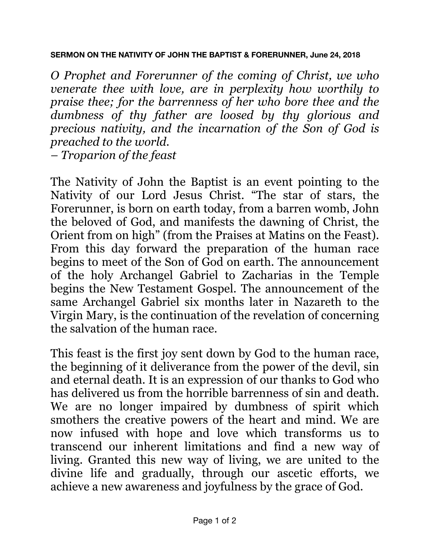## **SERMON ON THE NATIVITY OF JOHN THE BAPTIST & FORERUNNER, June 24, 2018**

*O Prophet and Forerunner of the coming of Christ, we who venerate thee with love, are in perplexity how worthily to praise thee; for the barrenness of her who bore thee and the dumbness of thy father are loosed by thy glorious and precious nativity, and the incarnation of the Son of God is preached to the world. – Troparion of the feast*

The Nativity of John the Baptist is an event pointing to the Nativity of our Lord Jesus Christ. "The star of stars, the Forerunner, is born on earth today, from a barren womb, John the beloved of God, and manifests the dawning of Christ, the Orient from on high" (from the Praises at Matins on the Feast). From this day forward the preparation of the human race begins to meet of the Son of God on earth. The announcement of the holy Archangel Gabriel to Zacharias in the Temple begins the New Testament Gospel. The announcement of the same Archangel Gabriel six months later in Nazareth to the Virgin Mary, is the continuation of the revelation of concerning the salvation of the human race.

This feast is the first joy sent down by God to the human race, the beginning of it deliverance from the power of the devil, sin and eternal death. It is an expression of our thanks to God who has delivered us from the horrible barrenness of sin and death. We are no longer impaired by dumbness of spirit which smothers the creative powers of the heart and mind. We are now infused with hope and love which transforms us to transcend our inherent limitations and find a new way of living. Granted this new way of living, we are united to the divine life and gradually, through our ascetic efforts, we achieve a new awareness and joyfulness by the grace of God.